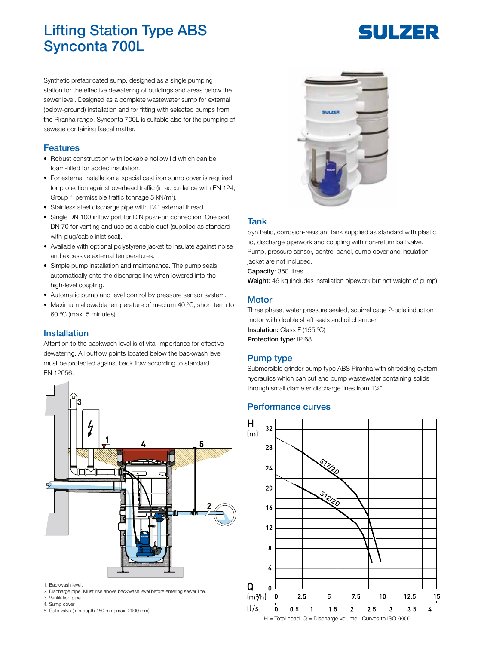# Lifting Station Type ABS Synconta 700L

# SUILZER

Synthetic prefabricated sump, designed as a single pumping station for the effective dewatering of buildings and areas below the sewer level. Designed as a complete wastewater sump for external (below-ground) installation and for fitting with selected pumps from the Piranha range. Synconta 700L is suitable also for the pumping of sewage containing faecal matter.

#### Features

- Robust construction with lockable hollow lid which can be foam-filled for added insulation.
- For external installation a special cast iron sump cover is required for protection against overhead traffic (in accordance with EN 124; Group 1 permissible traffic tonnage 5 kN/m<sup>2</sup>).
- Stainless steel discharge pipe with 1¼" external thread.
- Single DN 100 inflow port for DIN push-on connection. One port DN 70 for venting and use as a cable duct (supplied as standard with plug/cable inlet seal).
- Available with optional polystyrene jacket to insulate against noise and excessive external temperatures.
- Simple pump installation and maintenance. The pump seals automatically onto the discharge line when lowered into the high-level coupling.
- Automatic pump and level control by pressure sensor system.
- Maximum allowable temperature of medium 40 ºC, short term to 60 ºC (max. 5 minutes).

# **Installation**

Attention to the backwash level is of vital importance for effective dewatering. All outflow points located below the backwash level must be protected against back flow according to standard EN 12056.



- 1. Backwash level.
- 2. Discharge pipe. Must rise above backwash level before entering sewer line.
- 3. Ventilation pipe. 4. Sump cover
- 5. Gate valve (min.depth 450 mm; max. 2900 mm)



# Tank

Synthetic, corrosion-resistant tank supplied as standard with plastic lid, discharge pipework and coupling with non-return ball valve. Pump, pressure sensor, control panel, sump cover and insulation jacket are not included.

Capacity: 350 litres

Weight: 46 kg (includes installation pipework but not weight of pump).

#### **Motor**

Three phase, water pressure sealed, squirrel cage 2-pole induction motor with double shaft seals and oil chamber. Insulation: Class F (155 ºC) Protection type: IP 68

# Pump type

Submersible grinder pump type ABS Piranha with shredding system hydraulics which can cut and pump wastewater containing solids through small diameter discharge lines from 1¼".

#### Performance curves